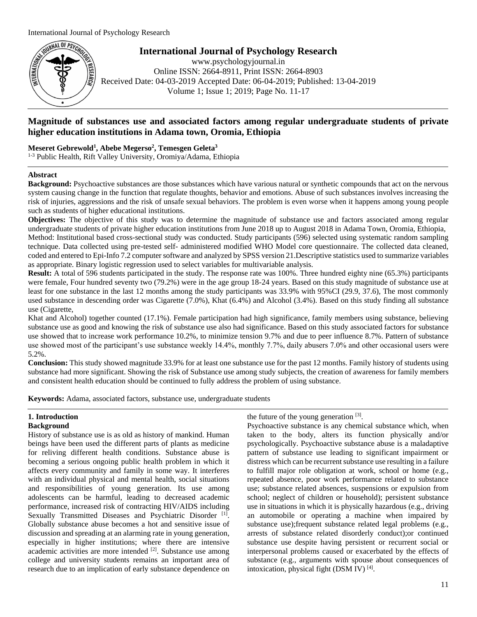

**International Journal of Psychology Research**

www.psychologyjournal.in Online ISSN: 2664-8911, Print ISSN: 2664-8903 Received Date: 04-03-2019 Accepted Date: 06-04-2019; Published: 13-04-2019 Volume 1; Issue 1; 2019; Page No. 11-17

# **Magnitude of substances use and associated factors among regular undergraduate students of private higher education institutions in Adama town, Oromia, Ethiopia**

**Meseret Gebrewold<sup>1</sup> , Abebe Megerso<sup>2</sup> , Temesgen Geleta<sup>3</sup>**

1-3 Public Health, Rift Valley University, Oromiya/Adama, Ethiopia

## **Abstract**

**Background:** Psychoactive substances are those substances which have various natural or synthetic compounds that act on the nervous system causing change in the function that regulate thoughts, behavior and emotions. Abuse of such substances involves increasing the risk of injuries, aggressions and the risk of unsafe sexual behaviors. The problem is even worse when it happens among young people such as students of higher educational institutions.

**Objectives:** The objective of this study was to determine the magnitude of substance use and factors associated among regular undergraduate students of private higher education institutions from June 2018 up to August 2018 in Adama Town, Oromia, Ethiopia, Method: Institutional based cross-sectional study was conducted. Study participants (596) selected using systematic random sampling technique. Data collected using pre-tested self- administered modified WHO Model core questionnaire. The collected data cleaned, coded and entered to Epi-Info 7.2 computer software and analyzed by SPSS version 21.Descriptive statistics used to summarize variables as appropriate. Binary logistic regression used to select variables for multivariable analysis.

**Result:** A total of 596 students participated in the study. The response rate was 100%. Three hundred eighty nine (65.3%) participants were female, Four hundred seventy two (79.2%) were in the age group 18-24 years. Based on this study magnitude of substance use at least for one substance in the last 12 months among the study participants was 33.9% with 95%CI (29.9, 37.6), The most commonly used substance in descending order was Cigarette (7.0%), Khat (6.4%) and Alcohol (3.4%). Based on this study finding all substance use (Cigarette,

Khat and Alcohol) together counted (17.1%). Female participation had high significance, family members using substance, believing substance use as good and knowing the risk of substance use also had significance. Based on this study associated factors for substance use showed that to increase work performance 10.2%, to minimize tension 9.7% and due to peer influence 8.7%. Pattern of substance use showed most of the participant's use substance weekly 14.4%, monthly 7.7%, daily abusers 7.0% and other occasional users were 5.2%.

**Conclusion:** This study showed magnitude 33.9% for at least one substance use for the past 12 months. Family history of students using substance had more significant. Showing the risk of Substance use among study subjects, the creation of awareness for family members and consistent health education should be continued to fully address the problem of using substance.

**Keywords:** Adama, associated factors, substance use, undergraduate students

## **1. Introduction Background**

History of substance use is as old as history of mankind. Human beings have been used the different parts of plants as medicine for reliving different health conditions. Substance abuse is becoming a serious ongoing public health problem in which it affects every community and family in some way. It interferes with an individual physical and mental health, social situations and responsibilities of young generation. Its use among adolescents can be harmful, leading to decreased academic performance, increased risk of contracting HIV/AIDS including Sexually Transmitted Diseases and Psychiatric Disorder [1]. Globally substance abuse becomes a hot and sensitive issue of discussion and spreading at an alarming rate in young generation, especially in higher institutions; where there are intensive academic activities are more intended  $[2]$ . Substance use among college and university students remains an important area of research due to an implication of early substance dependence on

the future of the young generation  $[3]$ .

Psychoactive substance is any chemical substance which, when taken to the body, alters its function physically and/or psychologically. Psychoactive substance abuse is a maladaptive pattern of substance use leading to significant impairment or distress which can be recurrent substance use resulting in a failure to fulfill major role obligation at work, school or home (e.g., repeated absence, poor work performance related to substance use; substance related absences, suspensions or expulsion from school; neglect of children or household); persistent substance use in situations in which it is physically hazardous (e.g., driving an automobile or operating a machine when impaired by substance use);frequent substance related legal problems (e.g., arrests of substance related disorderly conduct);or continued substance use despite having persistent or recurrent social or interpersonal problems caused or exacerbated by the effects of substance (e.g., arguments with spouse about consequences of intoxication, physical fight (DSM IV)<sup>[4]</sup>.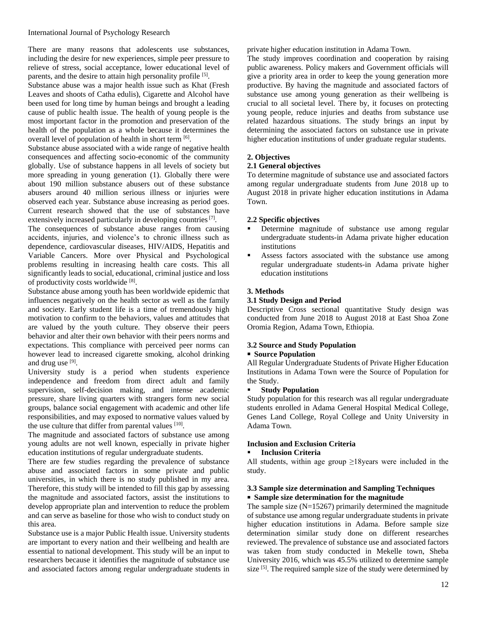There are many reasons that adolescents use substances, including the desire for new experiences, simple peer pressure to relieve of stress, social acceptance, lower educational level of parents, and the desire to attain high personality profile [5].

Substance abuse was a major health issue such as Khat (Fresh Leaves and shoots of Catha edulis), Cigarette and Alcohol have been used for long time by human beings and brought a leading cause of public health issue. The health of young people is the most important factor in the promotion and preservation of the health of the population as a whole because it determines the overall level of population of health in short term [6].

Substance abuse associated with a wide range of negative health consequences and affecting socio-economic of the community globally. Use of substance happens in all levels of society but more spreading in young generation (1). Globally there were about 190 million substance abusers out of these substance abusers around 40 million serious illness or injuries were observed each year. Substance abuse increasing as period goes. Current research showed that the use of substances have extensively increased particularly in developing countries  $[7]$ .

The consequences of substance abuse ranges from causing accidents, injuries, and violence's to chronic illness such as dependence, cardiovascular diseases, HIV/AIDS, Hepatitis and Variable Cancers. More over Physical and Psychological problems resulting in increasing health care costs. This all significantly leads to social, educational, criminal justice and loss of productivity costs worldwide [8].

Substance abuse among youth has been worldwide epidemic that influences negatively on the health sector as well as the family and society. Early student life is a time of tremendously high motivation to confirm to the behaviors, values and attitudes that are valued by the youth culture. They observe their peers behavior and alter their own behavior with their peers norms and expectations. This compliance with perceived peer norms can however lead to increased cigarette smoking, alcohol drinking and drug use [9].

University study is a period when students experience independence and freedom from direct adult and family supervision, self-decision making, and intense academic pressure, share living quarters with strangers form new social groups, balance social engagement with academic and other life responsibilities, and may exposed to normative values valued by the use culture that differ from parental values [10].

The magnitude and associated factors of substance use among young adults are not well known, especially in private higher education institutions of regular undergraduate students.

There are few studies regarding the prevalence of substance abuse and associated factors in some private and public universities, in which there is no study published in my area. Therefore, this study will be intended to fill this gap by assessing the magnitude and associated factors, assist the institutions to develop appropriate plan and intervention to reduce the problem and can serve as baseline for those who wish to conduct study on this area.

Substance use is a major Public Health issue. University students are important to every nation and their wellbeing and health are essential to national development. This study will be an input to researchers because it identifies the magnitude of substance use and associated factors among regular undergraduate students in private higher education institution in Adama Town.

The study improves coordination and cooperation by raising public awareness. Policy makers and Government officials will give a priority area in order to keep the young generation more productive. By having the magnitude and associated factors of substance use among young generation as their wellbeing is crucial to all societal level. There by, it focuses on protecting young people, reduce injuries and deaths from substance use related hazardous situations. The study brings an input by determining the associated factors on substance use in private higher education institutions of under graduate regular students.

## **2. Objectives**

## **2.1 General objectives**

To determine magnitude of substance use and associated factors among regular undergraduate students from June 2018 up to August 2018 in private higher education institutions in Adama Town.

## **2.2 Specific objectives**

- Determine magnitude of substance use among regular undergraduate students-in Adama private higher education institutions
- Assess factors associated with the substance use among regular undergraduate students-in Adama private higher education institutions

## **3. Methods**

## **3.1 Study Design and Period**

Descriptive Cross sectional quantitative Study design was conducted from June 2018 to August 2018 at East Shoa Zone Oromia Region, Adama Town, Ethiopia.

## **3.2 Source and Study Population**

### **Source Population**

All Regular Undergraduate Students of Private Higher Education Institutions in Adama Town were the Source of Population for the Study.

### **Study Population**

Study population for this research was all regular undergraduate students enrolled in Adama General Hospital Medical College, Genes Land College, Royal College and Unity University in Adama Town.

## **Inclusion and Exclusion Criteria**

### **Inclusion Criteria**

All students, within age group  $\geq$ 18 years were included in the study.

### **3.3 Sample size determination and Sampling Techniques Sample size determination for the magnitude**

The sample size  $(N=15267)$  primarily determined the magnitude of substance use among regular undergraduate students in private higher education institutions in Adama. Before sample size determination similar study done on different researches reviewed. The prevalence of substance use and associated factors was taken from study conducted in Mekelle town, Sheba University 2016, which was 45.5% utilized to determine sample size<sup>[5]</sup>. The required sample size of the study were determined by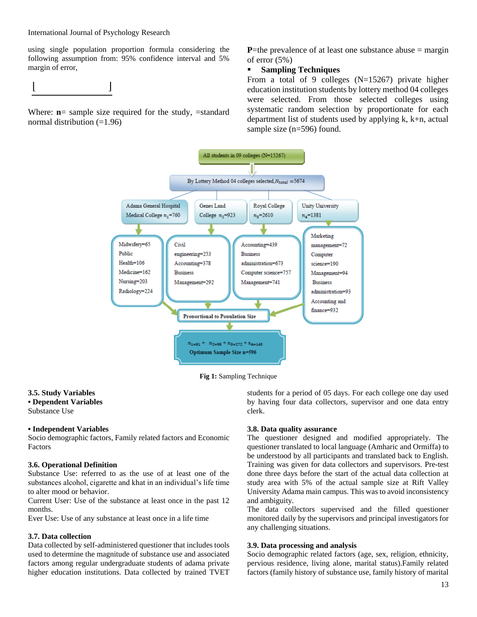using single population proportion formula considering the following assumption from: 95% confidence interval and 5% margin of error,

Where: **n**= sample size required for the study, =standard normal distribution  $(=1.96)$ 

**P**=the prevalence of at least one substance abuse  $=$  margin of error (5%)

## **Sampling Techniques**

From a total of 9 colleges (N=15267) private higher education institution students by lottery method 04 colleges were selected. From those selected colleges using systematic random selection by proportionate for each department list of students used by applying k, k+n, actual sample size (n=596) found.



**Fig 1:** Sampling Technique

### **3.5. Study Variables • Dependent Variables**

Substance Use

## **• Independent Variables**

Socio demographic factors, Family related factors and Economic Factors

## **3.6. Operational Definition**

Substance Use: referred to as the use of at least one of the substances alcohol, cigarette and khat in an individual's life time to alter mood or behavior.

Current User: Use of the substance at least once in the past 12 months.

Ever Use: Use of any substance at least once in a life time

## **3.7. Data collection**

Data collected by self-administered questioner that includes tools used to determine the magnitude of substance use and associated factors among regular undergraduate students of adama private higher education institutions. Data collected by trained TVET students for a period of 05 days. For each college one day used by having four data collectors, supervisor and one data entry clerk.

## **3.8. Data quality assurance**

The questioner designed and modified appropriately. The questioner translated to local language (Amharic and Ormiffa) to be understood by all participants and translated back to English. Training was given for data collectors and supervisors. Pre-test done three days before the start of the actual data collection at study area with 5% of the actual sample size at Rift Valley University Adama main campus. This was to avoid inconsistency and ambiguity.

The data collectors supervised and the filled questioner monitored daily by the supervisors and principal investigators for any challenging situations.

## **3.9. Data processing and analysis**

Socio demographic related factors (age, sex, religion, ethnicity, pervious residence, living alone, marital status).Family related factors (family history of substance use, family history of marital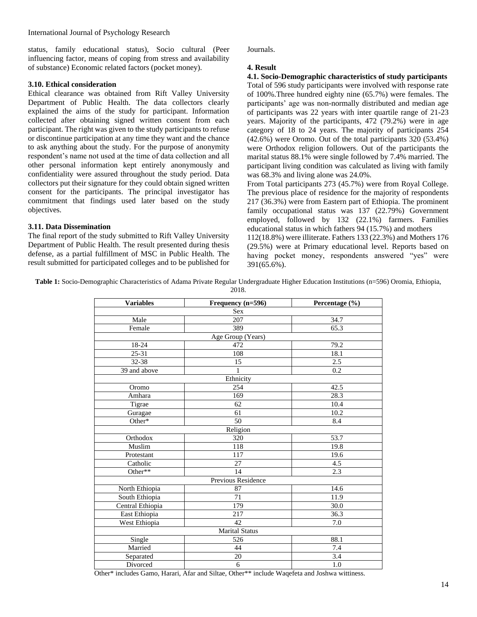status, family educational status), Socio cultural (Peer influencing factor, means of coping from stress and availability of substance) Economic related factors (pocket money).

### **3.10. Ethical consideration**

Ethical clearance was obtained from Rift Valley University Department of Public Health. The data collectors clearly explained the aims of the study for participant. Information collected after obtaining signed written consent from each participant. The right was given to the study participants to refuse or discontinue participation at any time they want and the chance to ask anything about the study. For the purpose of anonymity respondent's name not used at the time of data collection and all other personal information kept entirely anonymously and confidentiality were assured throughout the study period. Data collectors put their signature for they could obtain signed written consent for the participants. The principal investigator has commitment that findings used later based on the study objectives.

## **3.11. Data Dissemination**

The final report of the study submitted to Rift Valley University Department of Public Health. The result presented during thesis defense, as a partial fulfillment of MSC in Public Health. The result submitted for participated colleges and to be published for Journals.

### **4. Result**

**4.1. Socio-Demographic characteristics of study participants** Total of 596 study participants were involved with response rate of 100%.Three hundred eighty nine (65.7%) were females. The participants' age was non-normally distributed and median age of participants was 22 years with inter quartile range of 21-23 years. Majority of the participants, 472 (79.2%) were in age category of 18 to 24 years. The majority of participants 254 (42.6%) were Oromo. Out of the total participants 320 (53.4%) were Orthodox religion followers. Out of the participants the marital status 88.1% were single followed by 7.4% married. The participant living condition was calculated as living with family was 68.3% and living alone was 24.0%.

From Total participants 273 (45.7%) were from Royal College. The previous place of residence for the majority of respondents 217 (36.3%) were from Eastern part of Ethiopia. The prominent family occupational status was 137 (22.79%) Government employed, followed by 132 (22.1%) farmers. Families educational status in which fathers 94 (15.7%) and mothers 112(18.8%) were illiterate. Fathers 133 (22.3%) and Mothers 176 (29.5%) were at Primary educational level. Reports based on having pocket money, respondents answered "yes" were 391(65.6%).

**Table 1:** Socio-Demographic Characteristics of Adama Private Regular Undergraduate Higher Education Institutions (n=596) Oromia, Ethiopia,

| <b>Variables</b> | Frequency (n=596)  | Percentage (%)    |
|------------------|--------------------|-------------------|
|                  | <b>Sex</b>         |                   |
| Male             | 207                | 34.7              |
| Female           | 389                | 65.3              |
|                  | Age Group (Years)  |                   |
| $18 - 24$        | 472                | 79.2              |
| $25 - 31$        | 108                | 18.1              |
| $32 - 38$        | 15                 | 2.5               |
| 39 and above     | 1                  | 0.2               |
|                  | Ethnicity          |                   |
| Oromo            | 254                | 42.5              |
| Amhara           | 169                | $\overline{28.3}$ |
| Tigrae           | 62                 | 10.4              |
| Guragae          | 61                 | 10.2              |
| Other*           | 50                 | 8.4               |
|                  | Religion           |                   |
| Orthodox         | 320                | 53.7              |
| Muslim           | 118                | 19.8              |
| Protestant       | 117                | 19.6              |
| Catholic         | 27                 | 4.5               |
| Other**          | 14                 | 2.3               |
|                  | Previous Residence |                   |
| North Ethiopia   | 87                 | 14.6              |
| South Ethiopia   | 71                 | 11.9              |
| Central Ethiopia | 179                | 30.0              |
| East Ethiopia    | 217                | 36.3              |
| West Ethiopia    | 42                 | 7.0               |
|                  | Marital Status     |                   |
| Single           | 526                | 88.1              |
| Married          | 44                 | 7.4               |
| Separated        | 20                 | 3.4               |
| Divorced         | 6                  | 1.0               |

2018.

Other\* includes Gamo, Harari, Afar and Siltae, Other\*\* include Waqefeta and Joshwa wittiness.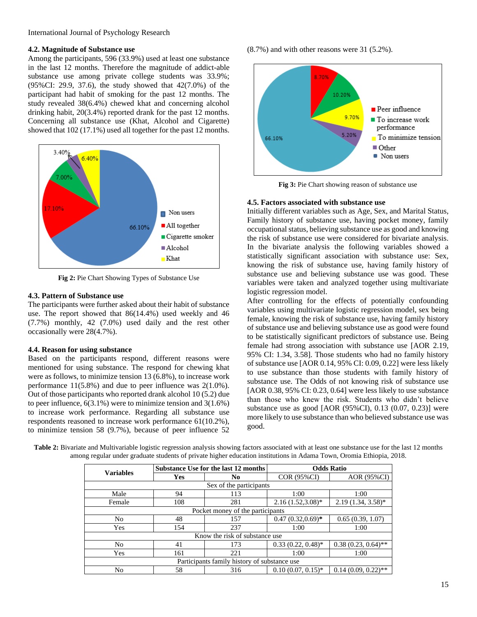### **4.2. Magnitude of Substance use**

Among the participants, 596 (33.9%) used at least one substance in the last 12 months. Therefore the magnitude of addict-able substance use among private college students was 33.9%; (95%CI: 29.9, 37.6), the study showed that 42(7.0%) of the participant had habit of smoking for the past 12 months. The study revealed 38(6.4%) chewed khat and concerning alcohol drinking habit, 20(3.4%) reported drank for the past 12 months. Concerning all substance use (Khat, Alcohol and Cigarette) showed that 102 (17.1%) used all together for the past 12 months.



**Fig 2:** Pie Chart Showing Types of Substance Use

### **4.3. Pattern of Substance use**

The participants were further asked about their habit of substance use. The report showed that 86(14.4%) used weekly and 46 (7.7%) monthly, 42 (7.0%) used daily and the rest other occasionally were 28(4.7%).

## **4.4. Reason for using substance**

Based on the participants respond, different reasons were mentioned for using substance. The respond for chewing khat were as follows, to minimize tension 13 (6.8%), to increase work performance 11(5.8%) and due to peer influence was 2(1.0%). Out of those participants who reported drank alcohol 10 (5.2) due to peer influence, 6(3.1%) were to minimize tension and 3(1.6%) to increase work performance. Regarding all substance use respondents reasoned to increase work performance 61(10.2%), to minimize tension 58 (9.7%), because of peer influence 52 (8.7%) and with other reasons were 31 (5.2%).



Fig 3: Pie Chart showing reason of substance use

### **4.5. Factors associated with substance use**

Initially different variables such as Age, Sex, and Marital Status, Family history of substance use, having pocket money, family occupational status, believing substance use as good and knowing the risk of substance use were considered for bivariate analysis. In the bivariate analysis the following variables showed a statistically significant association with substance use: Sex, knowing the risk of substance use, having family history of substance use and believing substance use was good. These variables were taken and analyzed together using multivariate logistic regression model.

After controlling for the effects of potentially confounding variables using multivariate logistic regression model, sex being female, knowing the risk of substance use, having family history of substance use and believing substance use as good were found to be statistically significant predictors of substance use. Being female had strong association with substance use [AOR 2.19, 95% CI: 1.34, 3.58]. Those students who had no family history of substance use [AOR 0.14, 95% CI: 0.09, 0.22] were less likely to use substance than those students with family history of substance use. The Odds of not knowing risk of substance use [AOR 0.38, 95% CI: 0.23, 0.64] were less likely to use substance than those who knew the risk. Students who didn't believe substance use as good [AOR (95%CI), 0.13 (0.07, 0.23)] were more likely to use substance than who believed substance use was good.

| Table 2: Bivariate and Multivariable logistic regression analysis showing factors associated with at least one substance use for the last 12 months |  |
|-----------------------------------------------------------------------------------------------------------------------------------------------------|--|
| among regular under graduate students of private higher education institutions in Adama Town, Oromia Ethiopia, 2018.                                |  |

|                                              | Substance Use for the last 12 months |     | <b>Odds Ratio</b>    |                       |  |  |  |  |
|----------------------------------------------|--------------------------------------|-----|----------------------|-----------------------|--|--|--|--|
| <b>Variables</b>                             | Yes                                  | No  | COR (95%CI)          | AOR (95%CI)           |  |  |  |  |
| Sex of the participants                      |                                      |     |                      |                       |  |  |  |  |
| Male                                         | 94                                   | 113 | 1:00                 | 1:00                  |  |  |  |  |
| Female                                       | 108                                  | 281 | $2.16(1.52,3.08)$ *  | $2.19(1.34, 3.58)^*$  |  |  |  |  |
| Pocket money of the participants             |                                      |     |                      |                       |  |  |  |  |
| N <sub>0</sub>                               | 48                                   | 157 | $0.47(0.32,0.69)$ *  | 0.65(0.39, 1.07)      |  |  |  |  |
| Yes                                          | 154                                  | 237 | 1:00                 | 1:00                  |  |  |  |  |
| Know the risk of substance use               |                                      |     |                      |                       |  |  |  |  |
| N <sub>0</sub>                               | 41                                   | 173 | $0.33(0.22, 0.48)^*$ | $0.38(0.23, 0.64)$ ** |  |  |  |  |
| Yes                                          | 161                                  | 221 | 1:00                 | 1:00                  |  |  |  |  |
| Participants family history of substance use |                                      |     |                      |                       |  |  |  |  |
| No                                           | 58                                   | 316 | $0.10(0.07, 0.15)^*$ | $0.14(0.09, 0.22)$ ** |  |  |  |  |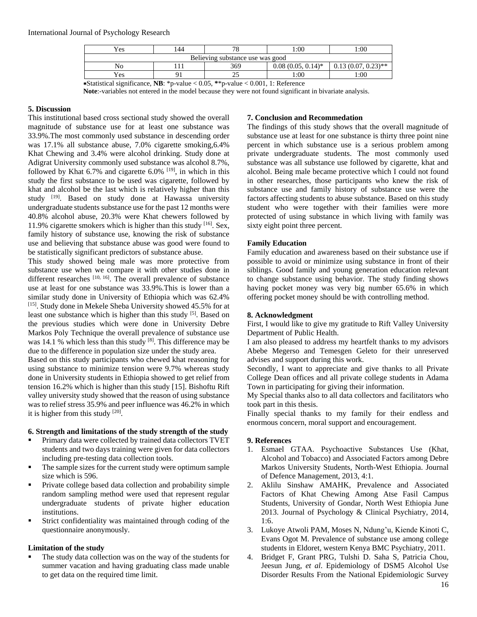### International Journal of Psychology Research

| Yes                              | 44    | 70                                 | 1:00                 | :00                   |  |
|----------------------------------|-------|------------------------------------|----------------------|-----------------------|--|
| Believing substance use was good |       |                                    |                      |                       |  |
| No                               |       | 369                                | $0.08(0.05, 0.14)^*$ | $0.13(0.07, 0.23)$ ** |  |
| Yes                              |       | ت                                  | 1:00                 | :00:                  |  |
| $\cdot$<br>- - - - -             | $  -$ | $\sim$ $\sim$ $\sim$ $\sim$ $\sim$ | $0.0011 \pm 0.01$    |                       |  |

∗Statistical significance, **NB**: \*p-value < 0.05, **\***\*p-value < 0.001, 1: Reference

**Note**:-variables not entered in the model because they were not found significant in bivariate analysis.

### **5. Discussion**

This institutional based cross sectional study showed the overall magnitude of substance use for at least one substance was 33.9%.The most commonly used substance in descending order was 17.1% all substance abuse, 7.0% cigarette smoking,6.4% Khat Chewing and 3.4% were alcohol drinking. Study done at Adigrat University commonly used substance was alcohol 8.7%, followed by Khat 6.7% and cigarette 6.0%  $[19]$ , in which in this study the first substance to be used was cigarette, followed by khat and alcohol be the last which is relatively higher than this study [19]. Based on study done at Hawassa university undergraduate students substance use for the past 12 months were 40.8% alcohol abuse, 20.3% were Khat chewers followed by 11.9% cigarette smokers which is higher than this study [16]. Sex, family history of substance use, knowing the risk of substance use and believing that substance abuse was good were found to be statistically significant predictors of substance abuse.

This study showed being male was more protective from substance use when we compare it with other studies done in different researches [10, 16]. The overall prevalence of substance use at least for one substance was 33.9%.This is lower than a similar study done in University of Ethiopia which was 62.4% [15]. Study done in Mekele Sheba University showed 45.5% for at least one substance which is higher than this study <sup>[5]</sup>. Based on the previous studies which were done in University Debre Markos Poly Technique the overall prevalence of substance use was 14.1 % which less than this study  $[8]$ . This difference may be due to the difference in population size under the study area.

Based on this study participants who chewed khat reasoning for using substance to minimize tension were 9.7% whereas study done in University students in Ethiopia showed to get relief from tension 16.2% which is higher than this study [15]. Bishoftu Rift valley university study showed that the reason of using substance was to relief stress 35.9% and peer influence was 46.2% in which it is higher from this study  $[20]$ .

### **6. Strength and limitations of the study strength of the study**

- Primary data were collected by trained data collectors TVET students and two days training were given for data collectors including pre-testing data collection tools.
- The sample sizes for the current study were optimum sample size which is 596.
- Private college based data collection and probability simple random sampling method were used that represent regular undergraduate students of private higher education institutions.
- Strict confidentiality was maintained through coding of the questionnaire anonymously.

### **Limitation of the study**

 The study data collection was on the way of the students for summer vacation and having graduating class made unable to get data on the required time limit.

### **7. Conclusion and Recommedation**

The findings of this study shows that the overall magnitude of substance use at least for one substance is thirty three point nine percent in which substance use is a serious problem among private undergraduate students. The most commonly used substance was all substance use followed by cigarette, khat and alcohol. Being male became protective which I could not found in other researches, those participants who knew the risk of substance use and family history of substance use were the factors affecting students to abuse substance. Based on this study student who were together with their families were more protected of using substance in which living with family was sixty eight point three percent.

### **Family Education**

Family education and awareness based on their substance use if possible to avoid or minimize using substance in front of their siblings. Good family and young generation education relevant to change substance using behavior. The study finding shows having pocket money was very big number 65.6% in which offering pocket money should be with controlling method.

### **8. Acknowledgment**

First, I would like to give my gratitude to Rift Valley University Department of Public Health.

I am also pleased to address my heartfelt thanks to my advisors Abebe Megerso and Temesgen Geleto for their unreserved advises and support during this work.

Secondly, I want to appreciate and give thanks to all Private College Dean offices and all private college students in Adama Town in participating for giving their information.

My Special thanks also to all data collectors and facilitators who took part in this thesis.

Finally special thanks to my family for their endless and enormous concern, moral support and encouragement.

### **9. References**

- 1. Esmael GTAA. Psychoactive Substances Use (Khat, Alcohol and Tobacco) and Associated Factors among Debre Markos University Students, North-West Ethiopia. Journal of Defence Management, 2013, 4:1.
- 2. Aklilu Sinshaw AMAHK, Prevalence and Associated Factors of Khat Chewing Among Atse Fasil Campus Students, University of Gondar, North West Ethiopia June 2013. Journal of Psychology & Clinical Psychiatry, 2014, 1:6.
- 3. Lukoye Atwoli PAM, Moses N, Ndung'u, Kiende Kinoti C, Evans Ogot M. Prevalence of substance use among college students in Eldoret, western Kenya BMC Psychiatry, 2011.
- 4. Bridget F, Grant PRG, Tulshi D. Saha S, Patricia Chou, Jeesun Jung, *et al*. Epidemiology of DSM5 Alcohol Use Disorder Results From the National Epidemiologic Survey